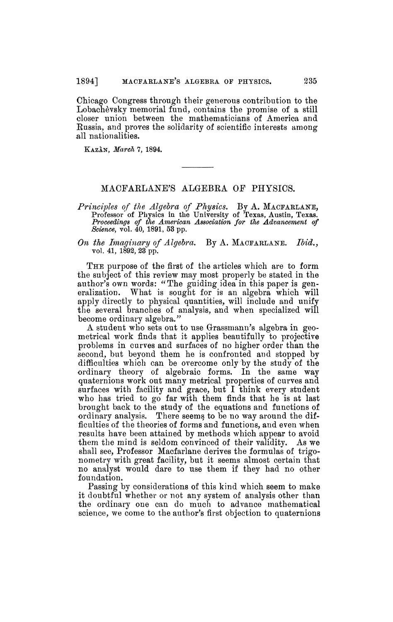Chicago Congress through their generous contribution to the Lobachèvsky memorial fund, contains the promise of a still closer union between the mathematicians of America and Kussia, and proves the solidarity of scientific interests among all nationalities.

KAZAN, *March* 7, 1894.

## MACFAKLAKE'S ALGEBKA OF PHYSICS.

*Principles of the Algebra of Physics.* By A. MACFARLANE, Professor' of Physics in the University of Texas, Austin, Texas. *Proceedings of the American Association for the Advancement of Science,* vol. 40, 1891, 53 pp.

*On the Imaginary of Algebra.* By A. MACFARLANE. *Ibid.,*  vol. 41, 1892, 23 pp.

THE purpose of the first of the articles which are to form the subject of this review may most properly be stated in the author's own words: "The guiding idea in this paper is generalization. What is sought for is an algebra which will apply directly to physical quantities, will include and unify the several branches of analysis, and when specialized will become ordinary algebra."

A student who sets out to use Grassmann's algebra in geometrical work finds that it applies beautifully to projective problems in curves and surfaces of no higher order than the second, but beyond them he is confronted and stopped by difficulties which can be overcome only by the study of the ordinary theory of algebraic forms. In the same way quaternions work out many metrical properties of curves and surfaces with facility and grace, but I think every student who has tried to go far with them finds that he is at last brought back to the study of the equations and functions of ordinary analysis. There seems to be no way around the difficulties of the theories of forms and functions, and even when results have been attained by methods which appear to avoid them the mind is seldom convinced of their validity. As we shall see, Professor Macfarlane derives the formulas of trigonometry with great facility, but it seems almost certain that no analyst would dare to use them if they had no other foundation.

Passing by considerations of this kind which seem to make it doubtful whether or not any system of analysis other than the ordinary one can do much to advance mathematical science, we come to the author's first objection to quaternions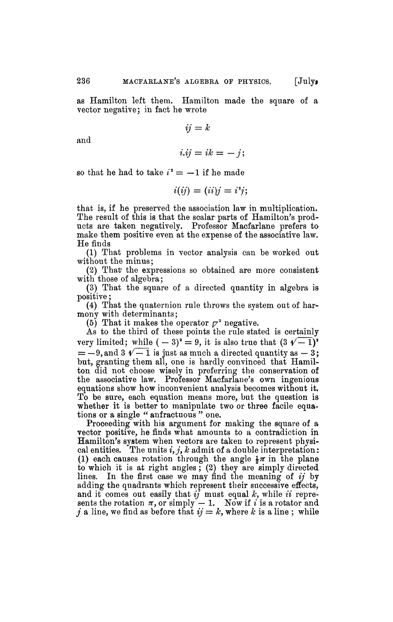as Hamilton left them. Hamilton made the square of a vector negative; in fact he wrote

$$
ij = k
$$

and

$$
i.ij = ik = -j;
$$

so that he had to take  $i^* = -1$  if he made

$$
i(ij) = (ii)j = i^2j;
$$

that is, if he preserved the association law in multiplication. The result of this is that the scalar parts of Hamilton's products are taken negatively. Professor Macfarlane prefers to make them positive even at the expense of the associative law. He finds

(1) That problems in vector analysis can be worked out without the minus;

(2) That' the expressions so obtained are more consistent with those of algebra;

(3) That the square of a directed quantity in algebra is positive ;

(4) That the quaternion rule throws the system out of harmony with determinants;

(5) That it makes the operator  $p^2$  negative.

As to the third of these points the rule stated is certainly very limited; while  $(-3)^{2} = 9$ , it is also true that  $(3 \sqrt{-1})^{2}$  $=-9$ , and  $3\sqrt{-1}$  is just as much a directed quantity as  $-3$ ; but, granting them all, one is hardly convinced that Hamilton did not choose wisely in preferring the conservation of the associative law. Professor Macfarlane's own ingenious equations show how inconvenient analysis becomes without it. To be sure, each equation means more, but the question is whether it is better to manipulate two or three facile equations or a single *"* anfractuous *"* one.

Proceeding with his argument for making the square of a vector positive, he finds what amounts to a contradiction in Hamilton's system when vectors are taken to represent physical entities. The units  $i, j, k$  admit of a double interpretation: (1) each causes rotation through the angle  $\frac{1}{2}\pi$  in the plane to which it is at right angles ; (2) they are simply directed lines. In the first case we may find the meaning of *ij* by adding the quadrants which represent their successive effects, and it comes out easily that *ij* must equal *k,* while *ii* represents the rotation  $\pi$ , or simply -1. Now if *i* is a rotator and *j* a line, we find as before that  $ij = k$ , where *k* is a line; while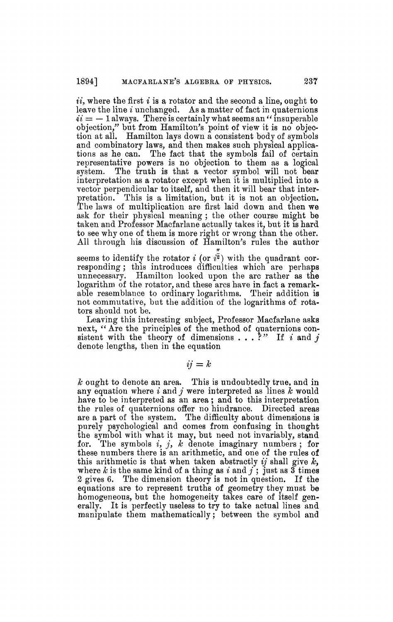*ii,* where the first *i* is a rotator and the second a line, ought to leave the line *i* unchanged. As a matter of fact in quaternions  $ii = -1$  always. There is certainly what seems an " insuperable objection/' but from Hamilton's point of view it is no objection at all. Hamilton lays down a consistent body of symbols and combinatory laws, and then makes such physical applications as he can. The fact that the symbols fail of certain representative powers is no objection to them as a logical system. The truth is that a vector symbol will not bear interpretation as a rotator except when it is multiplied into a vector perpendicular to itself, and then it will bear that interpretation. This is a limitation, but it is not an objection. The laws of multiplication are first laid down and then we ask for their physical meaning ; the other course might be taken and Professor Macfarlane actually takes it, but it is hard to see why one of them is more right or wrong than the other. All through his discussion of Hamilton's rules the author

seems to identify the rotator *i* (or  $i^{\overline{2}}$ ) with the quadrant corresponding; this introduces difficulties which are perhaps unnecessary. Hamilton looked upon the arc rather as the logarithm of the rotator, and these arcs have in fact a remarkable resemblance to ordinary logarithms. Their addition is not commutative, but the addition of the logarithms of rotators should not be.

Leaving this interesting subject, Professor Macfarlane asks next, *"* Are the principles of the method of quaternions consistent with the theory of dimensions  $\ldots$  ?" If *i* and *j* denote lengths, then in the equation

 $ii = k$ 

*h* ought to denote an area. This is undoubtedly true, and in any equation where *i* and *j* were interpreted as lines *h* would have to be interpreted as an area ; and to this interpretation the rules of quaternions offer no hindrance. Directed areas are a part of the system. The difficulty about dimensions is purely psychological and comes from confusing in thought the symbol with what it may, but need not invariably, stand for. The symbols *i9 j , k* denote imaginary numbers ; for these numbers there is an arithmetic, and one of the rules of this arithmetic is that when taken abstractly *ij* shall give *h,*  where  $k$  is the same kind of a thing as  $i$  and  $j$ ; just as  $3$  times 2 gives 6. The dimension theory is not in question. If the equations are to represent truths of geometry they must be homogeneous, but the homogeneity takes care of itself generally. It is perfectly useless to try to take actual lines and manipulate them mathematically; between the symbol and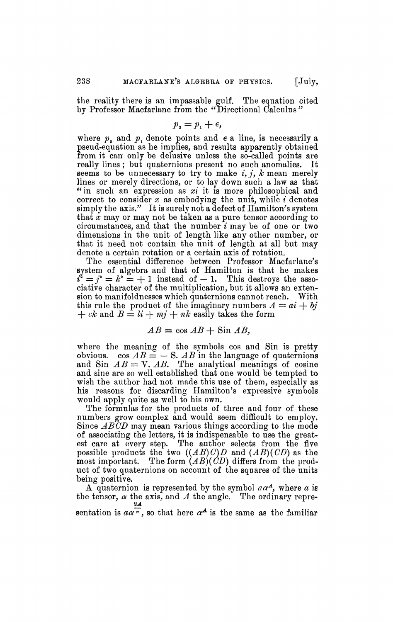the reality there is an impassable gulf. The equation cited by Professor Macfarlane from the "Directional Calculus"

$$
p_{\mathbf{1}}=p_{\mathbf{1}}+\epsilon,
$$

where  $p_a$  and  $p_i$  denote points and  $\epsilon$  a line, is necessarily a pseud-equation as he implies, and results apparently obtained from it can only be delusive unless the so-called points are really lines ; but quaternions present no such anomalies. It seems to be unnecessary to try to make  $i, j, k$  mean merely lines or merely directions, or to lay down such a law as that "in such an expression as *xi* it is more philosophical and correct to consider *x* as embodying the unit, while *i* denotes simply the axis." It is surely not a defect of Hamilton's system that *x* may or may not be taken as a pure tensor according to circumstances, and that the number *i* may be of one or two dimensions in the unit of length like any other number, or that it need not contain the unit of length at all but may denote a certain rotation or a certain axis of rotation.

The essential difference between Professor Macfarlane's system of algebra and that of Hamilton is that he makes  $i^2 = j^2 = k^2 = +1$  instead of  $-1$ . This destroys the associative character of the multiplication, but it allows an extension to manifoldnesses which quaternions cannot reach. With this rule the product of the imaginary numbers  $A = ai + bj$  $+ck$  and  $B = li + mj + nk$  easily takes the form

$$
AB = \cos AB + \sin AB,
$$

where the meaning of the symbols cos and Sin is pretty obvious.  $\cos AB = -$  S. AB in the language of quaternions and Sin  $AB = V$ . AB. The analytical meanings of cosine and sine are so well established that one would be tempted to wish the author had not made this use of them, especially as his reasons for discarding Hamilton's expressive symbols would apply quite as well to his own.

The formulas for the products of three and four of these numbers grow complex and would seem difficult to employ. Since *ABOD* may mean various things according to the mode of associating the letters, it is indispensable to use the greatest care at every step. The author selects from the five possible products the two *{{AB)G)D* and *{AB)(GD)* as the most important. The form  $(AB)(CD)$  differs from the product of two quaternions on account of the squares of the units being positive.

A quaternion is represented by the symbol  $a\alpha^A$ , where a is the tensor,  $\alpha$  the axis, and  $\alpha$  the angle. The ordinary repre- $\overline{2\overline{A}}$ 

sentation is  $a\alpha^{\pi}$ , so that here  $\alpha^{\mathcal{A}}$  is the same as the familiar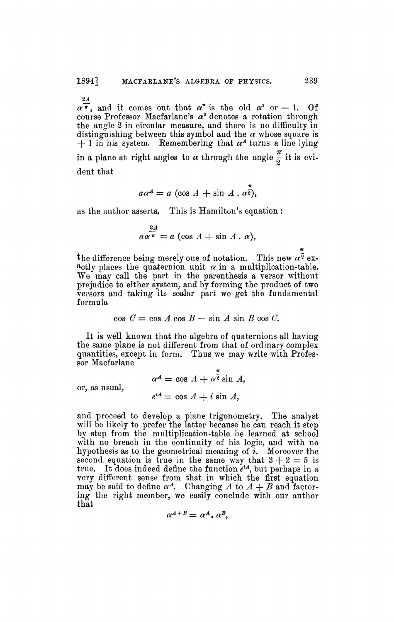$\frac{24}{\alpha^{\pi}}$ , and it comes out that  $\alpha^{\pi}$  is the old  $\alpha^2$  or - 1. Of course Professor Macfarlane's *a\** denotes a rotation through the angle 2 in circular measure, and there is no difficulty in distinguishing between this symbol and the  $\alpha$  whose square is  $+ 1$  in his system. Remembering that  $\alpha^4$  turns a line lying in a plane at right angles to  $\alpha$  through the angle  $\frac{\pi}{6}$  it is evi- $\tilde{a}$ dent that

$$
a\alpha^A = a \; (\cos A + \sin A \cdot \alpha^{\frac{\pi}{2}}),
$$

as the author asserts. This is Hamilton's equation :

$$
a\alpha^{\frac{2A}{\pi}} = a \left( \cos A + \sin A \cdot \alpha \right),
$$

**TP**  the difference being merely one of notation. This new  $\alpha^{\bar{z}}$  exactly places the quaternion unit  $\alpha$  in a multiplication-table. We may call the part in the parenthesis a versor without prejudice to either system, and by forming the product of two versors and taking its scalar part we get the fundamental formula

$$
\cos C = \cos A \cos B - \sin A \sin B \cos C.
$$

It is well known that the algebra of quaternions all having the same plane is not different from that of ordinary complex quantities, except in form. Thus we may write with Professor Macfarlane

or, as usual,

$$
\alpha^A = \cos A + \alpha^{\frac{\pi}{2}} \sin A,
$$
  

$$
e^{iA} = \cos A + i \sin A,
$$

and proceed to develop a plane trigonometry. The analyst will be likely to prefer the latter because he can reach it step by step from the multiplication-table he learned at school with no breach in the continuity of his logic, and with no hypothesis as to the geometrical meaning of *i.* Moreover the second equation is true in the same way that  $3 + 2 = 5$  is true. It does indeed define the function  $e^{iA}$ , but perhaps in a very different sense from that in which the first equation may be said to define  $\alpha^A$ . Changing A to  $A + B$  and factoring the right member, we easily conclude with our author that

$$
\alpha^{A+B}=\alpha^A,\,\alpha^B,
$$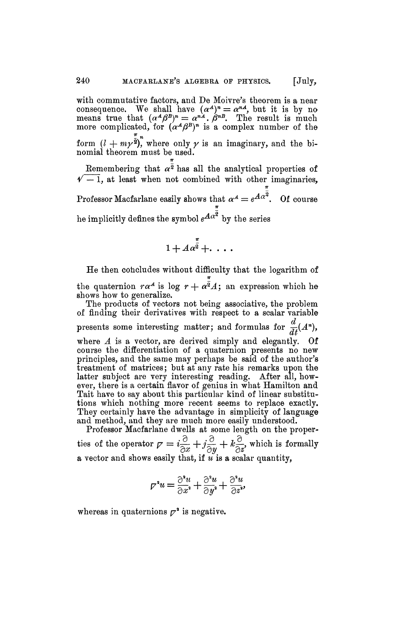with commutative factors, and De Moivre's theorem is a near consequence. We shall have  $(\alpha^A)^n = \alpha^{nA}$ , but it is by no means true that  $(\alpha^A \beta^B)^n = \alpha^{n\lambda} \cdot \beta^{n\lambda}$ . The result is much more complicated, for  $(\alpha^A \beta^B)^n$  is a complex number of the  $\frac{\pi}{2}$ <sup>n</sup> form  $(l + m\gamma^2)$ , where only  $\gamma$  is an imaginary, and the binomial theorem must be used.

Remembering that  $\alpha^{\bar{2}}$  has all the analytical properties of  $\sqrt{-1}$ , at least when not combined with other imaginaries, *IT*  Professor Macfarlane easily shows that  $\alpha^A = e^{A\alpha^2}$ . Of course  $\bar{\bar{2}}$ ne implicitly defines the symbol *e Aa* by the series

$$
1 + A\alpha^{\frac{\pi}{2}} + \cdots
$$

He then concludes without difficulty that the logarithm of the quaternion  $r\alpha^4$  is log  $r + a^{\frac{1}{2}}A$ ; an expression which he shows how to generalize.

The products of vectors not being associative, the problem of finding their derivatives with respect to a scalar variable presents some interesting matter; and formulas for  $\frac{u}{\lambda}$  (A<sup>n</sup>), where *A* is a vector, are derived simply and elegantly. Of course the differentiation of a quaternion presents no new principles, and the same may perhaps be said of the author's treatment of matrices; but at any rate his remarks upon the latter subject are very interesting reading. After all, however, there is a certain flavor of genius in what Hamilton and Tait have to say about this particular kind of linear substitutions which nothing more recent seems to replace exactly. They certainly have the advantage in simplicity of language and method, and they are much more easily understood.

Professor Macfarlane dwells at some length on the proper**o o o**  thes of the operator  $V = i\frac{\partial x}{\partial x} + i\frac{\partial y}{\partial y} + i\frac{\partial z}{\partial z}$ , which is formally a vector and shows easily that, if *u* is a scalar quantity,

$$
\varphi^{\imath}u = \frac{\partial^{\imath}u}{\partial x^{\imath}} + \frac{\partial^{\imath}u}{\partial y^{\imath}} + \frac{\partial^{\imath}u}{\partial z^{\imath}},
$$

whereas in quaternions  $\mathfrak{p}^2$  is negative.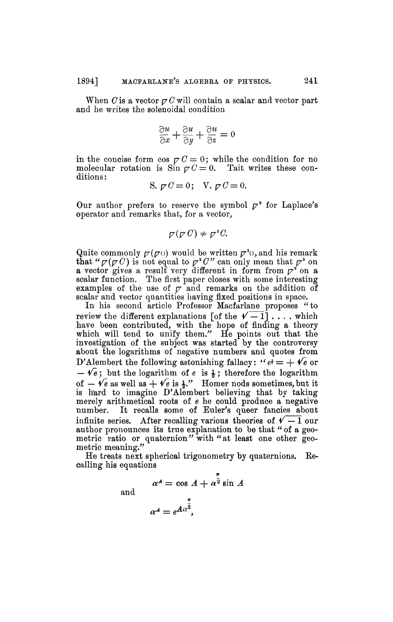When *G* is a vector  $\sigma$  *C* will contain a scalar and vector part and he writes the solenoidal condition

$$
\frac{\partial u}{\partial x} + \frac{\partial u}{\partial y} + \frac{\partial u}{\partial z} = 0
$$

in the concise form cos  $\sigma C = 0$ ; while the condition for no molecular rotation is  $\sin\varphi C = 0$ . Tait writes these conditions:

S. 
$$
pC = 0
$$
; V.  $pC = 0$ .

Our author prefers to reserve the symbol  $p^2$  for Laplace's operator and remarks that, for a vector,

$$
\rho(\rho C)\neq \rho^2 C.
$$

Quite commonly  $p(p)$  would be written  $p^2$ , and his remark that " $p(p|C)$  is not equal to  $p^2 C$ " can only mean that  $p^2$  on a vector gives a result very different in form from  $p^2$  on a scalar function. The first paper closes with some interesting examples of the use of  $\sigma$  and remarks on the addition of scalar and vector quantities having fixed positions in space.

In his second article Professor Macfarlane proposes "to review the different explanations [of the  $\sqrt{-1}$ ].... which have been contributed, with the hope of finding a theory which will tend to unify them." He points out that the investigation of the subject was started by the controversy about the logarithms of negative numbers and quotes from D'Alembert the following astonishing fallacy: " $e^t = + V e$  or  $-\sqrt{e}$ ; but the logarithm of e is  $\frac{1}{2}$ ; therefore the logarithm of  $-\sqrt{e}$  as well as  $+\sqrt{e}$  is  $\frac{1}{2}$ ." Homer nods sometimes, but it is hard to imagine D'Alembert believing that by taking merely arithmetical roots of *e* he could produce a negative number. It recalls some of Euler's queer fancies about infinite series. After recalling various theories of  $\mathcal{V}-1$  our author pronounces its true explanation to be that *"* of a geometric ratio or quaternion" with "at least one other geometric meaning."

He treats next spherical trigonometry by quaternions. Kecalling his equations

$$
\alpha^A = \cos A + \alpha^{\frac{\pi}{2}} \sin A
$$

$$
\alpha^A=e^{A\alpha^{\bar{2}}},
$$

and